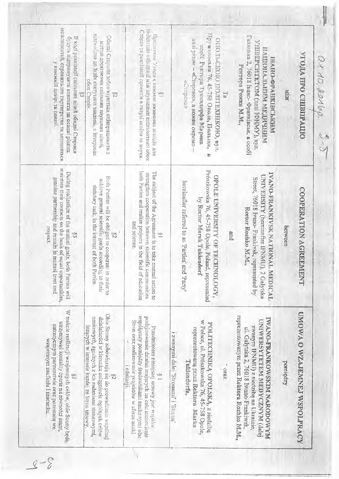| можлывостей, справжныло партнерства та задишаться<br>змічетнія спіндаці між науковних спільногами обох<br>Cropis 7a pearlisabli qpoekriis a ranysi ocairia ra isayka.<br>WEST ROMER'S 76, 45-758 Oncie, Hennang,<br>выльный до їхніх статутних завдань, в інтересех<br>Плодчегом Угоды с взаемне вживаних заходы для<br>Галишка 2, 76018 Јвано-Франківськ, в особі<br>Совда) Стороти зобов'язуються співпрацювати з<br>В коді реалізації спільних цілей обидві Сторони<br>Оудуть підтримувати контикти на основі рівних<br>иали разом - «Сторони», а кожен окремо<br>CELLING AND ILLEXEEN ORO BAIL<br>VEIBEPCHTETOM (nani IOHNY), By31<br>метом досягненна спильных науковка циен,<br>ссой Гемтора Туксплорфа Марека<br>илиньийны минчичнойгин<br>УГОДА ПРО СШВПРАЦИ<br><b>MERIC-OPAHIRCBINE</b><br>у взаемній довірі та повазі<br>Perropa Pownea M.M.,<br>oбox Cropin<br>канофоль»<br><b>KIM</b><br>ŝ,<br>maintain their contacts on the basis of equal opportunities,<br>Prószkowska 76, 45-758 Opole, Poland,<br>both Parties and realize projects in the field of education<br>During realization of the mutual goals, both<br>The subject of the Agreement is to take mutual action to<br>IVANO-FRANKIVSK NATIONAL MEDICAL<br>strengthen cooperation between scientific communities<br>UNIVERSITY (hereinafter IFNMU), 2 Galytska<br>OPOLE UNIVERSITY OF TECHNOLOGY,<br>Both Parties will be obliged to cooperate in order to<br>genuine partnership and remain in mutual<br>Street, 76018 Ivano-Frankivsk, represented by<br>achieve general scientific goals according to their<br>hereinafter referred to as Parties' and Party<br>statutory task, in the interest of both Parties.<br>COOPERATION AGREEMENT<br>by Rector Marek Tukiendor,<br>Rector Rozhko M.M.,<br>and science.<br>between<br>13adsa1<br>and<br>Š1<br>pue isna<br>Parties will<br>represented<br>ащепгускиуш рагшетскіміе огаз рогозкапа ме<br>leżących w interesie każdej ze Stron umowy.<br>zwanym IFNMU) z siedzibą na Ukrainie,<br>Przedmiotem niniejszej umowy jest wspólne<br>reprezentowaną przez Rektora Marka<br>ul. Galytska 2, 76018 Iwano-Frankiwsk,<br>i zwanymi dalej 'Stronami' i 'Strona<br>wzajemnym zaufaniu i szacunku.<br>Tukiendorfa,<br>pomiędzy<br>i edukacji.<br>Oraz<br>ī.<br>3<br>Z | Orrosportop 2-0 |                                                                                                                                                               |
|-----------------------------------------------------------------------------------------------------------------------------------------------------------------------------------------------------------------------------------------------------------------------------------------------------------------------------------------------------------------------------------------------------------------------------------------------------------------------------------------------------------------------------------------------------------------------------------------------------------------------------------------------------------------------------------------------------------------------------------------------------------------------------------------------------------------------------------------------------------------------------------------------------------------------------------------------------------------------------------------------------------------------------------------------------------------------------------------------------------------------------------------------------------------------------------------------------------------------------------------------------------------------------------------------------------------------------------------------------------------------------------------------------------------------------------------------------------------------------------------------------------------------------------------------------------------------------------------------------------------------------------------------------------------------------------------------------------------------------------------------------------------------------------------------------------------------------------------------------------------------------------------------------------------------------------------------------------------------------------------------------------------------------------------------------------------------------------------------------------------------------------------------------------------------------------------------------------------------------------------------------------------------------------------|-----------------|---------------------------------------------------------------------------------------------------------------------------------------------------------------|
|                                                                                                                                                                                                                                                                                                                                                                                                                                                                                                                                                                                                                                                                                                                                                                                                                                                                                                                                                                                                                                                                                                                                                                                                                                                                                                                                                                                                                                                                                                                                                                                                                                                                                                                                                                                                                                                                                                                                                                                                                                                                                                                                                                                                                                                                                         |                 | UMORIA O WZAJEMNEJ WSPOLPRACY                                                                                                                                 |
|                                                                                                                                                                                                                                                                                                                                                                                                                                                                                                                                                                                                                                                                                                                                                                                                                                                                                                                                                                                                                                                                                                                                                                                                                                                                                                                                                                                                                                                                                                                                                                                                                                                                                                                                                                                                                                                                                                                                                                                                                                                                                                                                                                                                                                                                                         |                 |                                                                                                                                                               |
|                                                                                                                                                                                                                                                                                                                                                                                                                                                                                                                                                                                                                                                                                                                                                                                                                                                                                                                                                                                                                                                                                                                                                                                                                                                                                                                                                                                                                                                                                                                                                                                                                                                                                                                                                                                                                                                                                                                                                                                                                                                                                                                                                                                                                                                                                         |                 | reprezentowanym przez Rektora Rozhko M.M.,<br>IWANO-FRANKOWSKIM NARODOWYM<br>UNIWERSYTETEM MEDYCZNYM (dalej                                                   |
|                                                                                                                                                                                                                                                                                                                                                                                                                                                                                                                                                                                                                                                                                                                                                                                                                                                                                                                                                                                                                                                                                                                                                                                                                                                                                                                                                                                                                                                                                                                                                                                                                                                                                                                                                                                                                                                                                                                                                                                                                                                                                                                                                                                                                                                                                         |                 |                                                                                                                                                               |
|                                                                                                                                                                                                                                                                                                                                                                                                                                                                                                                                                                                                                                                                                                                                                                                                                                                                                                                                                                                                                                                                                                                                                                                                                                                                                                                                                                                                                                                                                                                                                                                                                                                                                                                                                                                                                                                                                                                                                                                                                                                                                                                                                                                                                                                                                         |                 | w Polsce, ul. Prószkowska 76, 45-758 Opole,<br>POLITECHNIKA OPOLSKA, z siedzibą                                                                               |
|                                                                                                                                                                                                                                                                                                                                                                                                                                                                                                                                                                                                                                                                                                                                                                                                                                                                                                                                                                                                                                                                                                                                                                                                                                                                                                                                                                                                                                                                                                                                                                                                                                                                                                                                                                                                                                                                                                                                                                                                                                                                                                                                                                                                                                                                                         |                 |                                                                                                                                                               |
|                                                                                                                                                                                                                                                                                                                                                                                                                                                                                                                                                                                                                                                                                                                                                                                                                                                                                                                                                                                                                                                                                                                                                                                                                                                                                                                                                                                                                                                                                                                                                                                                                                                                                                                                                                                                                                                                                                                                                                                                                                                                                                                                                                                                                                                                                         |                 |                                                                                                                                                               |
|                                                                                                                                                                                                                                                                                                                                                                                                                                                                                                                                                                                                                                                                                                                                                                                                                                                                                                                                                                                                                                                                                                                                                                                                                                                                                                                                                                                                                                                                                                                                                                                                                                                                                                                                                                                                                                                                                                                                                                                                                                                                                                                                                                                                                                                                                         |                 | współpracy pomiędzy środowiskami naukowymi obu<br>podejmowanie działań mających na celu umocnienie<br>Stron oraz realizowanie projektów w sferze nauki        |
|                                                                                                                                                                                                                                                                                                                                                                                                                                                                                                                                                                                                                                                                                                                                                                                                                                                                                                                                                                                                                                                                                                                                                                                                                                                                                                                                                                                                                                                                                                                                                                                                                                                                                                                                                                                                                                                                                                                                                                                                                                                                                                                                                                                                                                                                                         |                 | Obie Strony zobowiązują się do prowadzenia współnej<br>naukowych, zgodnych z ich zadaniami statutowymi,<br>działalności w kierunku osiągnięcia ogólnych celów |
|                                                                                                                                                                                                                                                                                                                                                                                                                                                                                                                                                                                                                                                                                                                                                                                                                                                                                                                                                                                                                                                                                                                                                                                                                                                                                                                                                                                                                                                                                                                                                                                                                                                                                                                                                                                                                                                                                                                                                                                                                                                                                                                                                                                                                                                                                         |                 | W trakcie realizacji wzajemnych celów, obie Strony będą,<br>utrzymywać kontakty oparte na równości szans,                                                     |
|                                                                                                                                                                                                                                                                                                                                                                                                                                                                                                                                                                                                                                                                                                                                                                                                                                                                                                                                                                                                                                                                                                                                                                                                                                                                                                                                                                                                                                                                                                                                                                                                                                                                                                                                                                                                                                                                                                                                                                                                                                                                                                                                                                                                                                                                                         |                 |                                                                                                                                                               |

Are Will

 $8 - 8$ 

in de la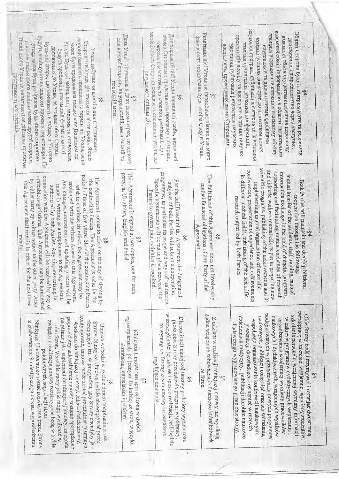| буду та вирільнатись шихом дружить переговорів. Пя<br>сторони бажноть продовжити термін дії Угоди, вона<br>Післі насто Уюдя запишатимсться дійсною протягом<br>пользом письмового повідомлення другої сторони.<br>Угода. Будь-які змінн, виправлення та оновлення<br>Сторонами Угода діє прогягом п'яти років. Якщо<br>$\text{by}$ are set of<br>popular into $\texttt{H}$ is a set as set as as $\texttt{V} \texttt{top} \texttt{col}$<br>може бути продовжена инсыловим Додатком до<br>и одность коль-стиропрость судь-якою стороного<br>доповышия до Угоди, за згодою обох Сторін.<br>у года набувае чинхості з дня її підписання<br>будуть зроблені в письмовій фермі в якості<br>$\frac{5}{20}$                               | Дава Угода підписана в двох екземплярах, по одному<br>вля кожної сторони, на українській, англійській га<br>польській мові.<br>$\mathbb{Z}^2$                  | необстановті Сторови складимоть спеціальні угоди, що<br>обма Сторонами представлить програму співпраці,<br><u>Тля реалізації цісі Угоди коридичні особи, визначені</u><br>хокрема й маститаби та способи реапізації При<br>те: иншто члокошлый<br>S6                                          | Реалізація цісі Угоди не цередбачає ніяких взасмних<br>фінансових зобов'язань будь-якої зі Сторін Угодн.<br>S,                  | наукових програм, публікації досягнень та їх втілення<br>взаємний обмін інформацією в області дидактичних<br>Обидні Сторони будуть підтримувати та розвивати<br>програм підтрикка та сприяння взасмному обміну<br>презентатія досяцу та досягнень в різних галузях<br>взаедный обмін студентаминазчання персоналу<br>взаемы зусклля докладені до пілготовки новых<br>двостороние співробітнить о через наступне-<br><u>гзасыла організація наукових конференцій,</u><br>медицина публікація результатів наукових<br>доспіджень, проведених двома Сторонами.<br>науковцими та дидактичними фахівцими<br>$\frac{3}{2}$                           |
|------------------------------------------------------------------------------------------------------------------------------------------------------------------------------------------------------------------------------------------------------------------------------------------------------------------------------------------------------------------------------------------------------------------------------------------------------------------------------------------------------------------------------------------------------------------------------------------------------------------------------------------------------------------------------------------------------------------------------------|----------------------------------------------------------------------------------------------------------------------------------------------------------------|-----------------------------------------------------------------------------------------------------------------------------------------------------------------------------------------------------------------------------------------------------------------------------------------------|---------------------------------------------------------------------------------------------------------------------------------|------------------------------------------------------------------------------------------------------------------------------------------------------------------------------------------------------------------------------------------------------------------------------------------------------------------------------------------------------------------------------------------------------------------------------------------------------------------------------------------------------------------------------------------------------------------------------------------------------------------------------------------------|
| period of time of five years. Should the contracting Parties<br>comection with the Agreement will be resolved by way of<br>amicable negotiations. This Agreement may be terminated<br>The Agreement comes to effect on the day of signing by<br>by either party by written notice to the other party. After<br>the contracting Parties. The Agreement is valid for the<br>Any changes, corrections and updating process will be<br>this Agreement shall remain in effect for the next three<br>prolonged with the written Amex to this Agreement.<br>made in writing as a supplement to the Agreement,<br>wish to continue its effect, the Agreement may be<br>authorized by both Parties. Any disputes arising in<br>months<br>88 | party, in Ukrainian, English and Polish.<br>This Agreement is signed in two copies, one for each<br>ζŠ,                                                        | programme, in particular its scope and ways of realization.<br>Specific agreements will be put in place between the<br>For the fulfillment of the Agreement the designated<br>subjects of both Parties will submit a cooperation<br>Parties to govern joint activities<br>SS.<br>if required. | The fulfillment of this Agreement does not involve any<br>mutual financial obligations of any Party of the<br>Agreement.<br>Ŝ,  | scientific programs, publishing of the achievements and its<br>conferences, presentation of experience<br>and didactic workers mutual efforts put in preparing new<br>supporting and facilitating mutual exchange of research<br>information exchange in the field of didactic programs,<br>munal transfer of the students. staff training, mutual<br>in different medical fields, publishing<br>Both Parties will maintain and develop bilateral<br>implementing mutual organization<br>cooperation through the following:<br>research output led by both Parties.<br>$\frac{3}{2}$<br>of the scientific<br>and achievements<br>of scientific |
| kontynuować, umowa może zostać przedłużona pisemnym<br>poprawki czy uaktualnienie umowy zostanie sporządzone<br>na piśmie jako suplement do niniejszej úmowy, za zgoda<br>okres pięciu lat. W przypadku, gdy Strony chciałyby ja<br>Niniejsza Umowa może zostać rozwiązana przez Strony<br>związku z realizacja umowy rozstrzygane będą w trybie<br>z zachowaniem 3-miesięcznego okresu wypowiedzenia.<br>Aneksem do niniejszej umowy. Jakiekolwiek zmiany,<br>Strony, Niniejsza Umowa będzie obowiązywać przez<br>Umowa wchodzi w życie z dniem podpisania przez<br>obu Stron. Wszelkie spory jakie mogą wyniknąć w<br>polubownych negocjacji stron.                                                                              | egzemplarzach, po jednym dla każdej ze stron, w języku<br>Niniejsza Umowa jest sporządzona w dwóch<br>ukraińskim, angielskim i polskim<br>S)<br>$\frac{5}{60}$ | w szczególności jej zakres i sposób realizacji. Jeśli będzie<br>Dla realizacji niniejszej umowy podmioty wyznaczone<br>przez obie Strony przedstawia program współpracy,<br>to wynagane, Strony zawrą umowy szczegółcwe<br>regulujące działania.<br>98<br>$\hat{\mathcal{R}}$                 | żadne wzajemne zobowiązania finansowe którejkolwiek<br>Z udziału w realizacji niniejszej umowy nie wynikają<br>ze Stron.<br>ion | współpracę w zakresie: wzajemnej wymiany studentów,<br>рофејтоwarych w ргузеокомаци поwych programow<br>Obie Strony będą utrzymywać i rozwijać dwustronną<br>szkolenia personelu, wzajemnej wymiany informacji<br>naukowych i dydaktycznych, wzajemnych wysiłków<br>naukowych, publikacji osiągnięć oraz ich wdrażania,<br>dziedzina h. medycyny, publikacji dorobku naukowo<br>w zakresie programów dydaktycznych wspierania i<br>отganizowania wzajemnej wymiany pracowników<br>współnego organizowania konferencji naukowych,<br>-badawczego wypracowanego przez obie strony.<br>prezentacji doswiadczen i osiagnieć w roznych<br>\$4       |